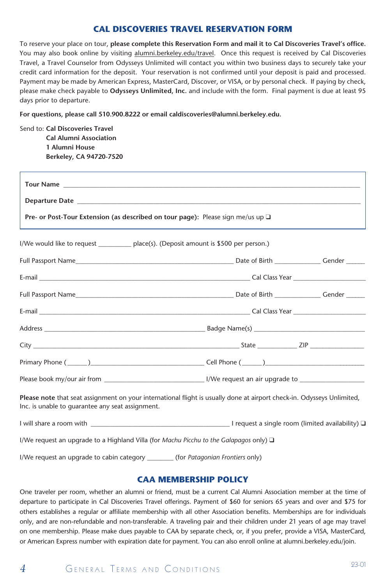#### **CAL DISCOVERIES TRAVEL RESERVATION FORM**

To reserve your place on tour, **please complete this Reservation Form and mail it to Cal Discoveries Travel's office.** You may also book online by visiting alumni.berkeley.edu/travel. Once this request is received by Cal Discoveries Travel, a Travel Counselor from Odysseys Unlimited will contact you within two business days to securely take your credit card information for the deposit. Your reservation is not confirmed until your deposit is paid and processed. Payment may be made by American Express, MasterCard, Discover, or VISA, or by personal check. If paying by check, please make check payable to **Odysseys Unlimited, Inc.** and include with the form. Final payment is due at least 95 days prior to departure.

**For questions, please call 510.900.8222 or email caldiscoveries@alumni.berkeley.edu.**

Send to: **Cal Discoveries Travel Cal Alumni Association 1 Alumni House Berkeley, CA 94720-7520**

| <b>Pre- or Post-Tour Extension (as described on tour page):</b> Please sign me/us up $\Box$            |                                                                                                                        |  |
|--------------------------------------------------------------------------------------------------------|------------------------------------------------------------------------------------------------------------------------|--|
| I/We would like to request ___________ place(s). (Deposit amount is \$500 per person.)                 |                                                                                                                        |  |
|                                                                                                        |                                                                                                                        |  |
|                                                                                                        |                                                                                                                        |  |
|                                                                                                        |                                                                                                                        |  |
|                                                                                                        |                                                                                                                        |  |
|                                                                                                        |                                                                                                                        |  |
|                                                                                                        |                                                                                                                        |  |
|                                                                                                        |                                                                                                                        |  |
|                                                                                                        |                                                                                                                        |  |
| Inc. is unable to guarantee any seat assignment.                                                       | Please note that seat assignment on your international flight is usually done at airport check-in. Odysseys Unlimited, |  |
|                                                                                                        | I will share a room with $\Box$                                                                                        |  |
| I/We request an upgrade to a Highland Villa (for <i>Machu Picchu to the Galapagos only</i> ) $\square$ |                                                                                                                        |  |
| I/We request an upgrade to cabin category _________ (for Patagonian Frontiers only)                    |                                                                                                                        |  |

#### **CAA MEMBERSHIP POLICY**

One traveler per room, whether an alumni or friend, must be a current Cal Alumni Association member at the time of departure to participate in Cal Discoveries Travel offerings. Payment of \$60 for seniors 65 years and over and \$75 for others establishes a regular or affiliate membership with all other Association benefits. Memberships are for individuals only, and are non-refundable and non-transferable. A traveling pair and their children under 21 years of age may travel on one membership. Please make dues payable to CAA by separate check, or, if you prefer, provide a VISA, MasterCard, or American Express number with expiration date for payment. You can also enroll online at alumni.berkeley.edu/join.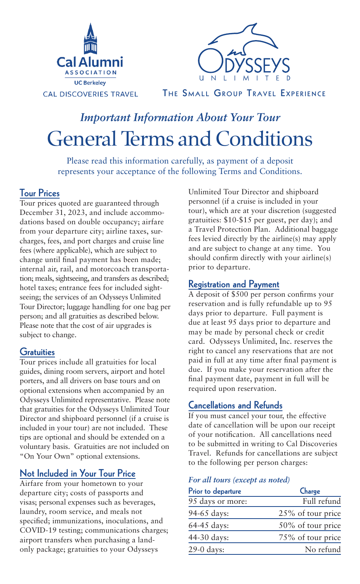



THE SMALL GROUP TRAVEL EXPERIENCE

# General Terms and Conditions *Important Information About Your Tour*

Please read this information carefully, as payment of a deposit represents your acceptance of the following Terms and Conditions.

## Tour Prices

Tour prices quoted are guaranteed through December 31, 2023, and include accommodations based on double occupancy; airfare from your departure city; airline taxes, surcharges, fees, and port charges and cruise line fees (where applicable), which are subject to change until final payment has been made; internal air, rail, and motorcoach transportation; meals, sightseeing, and transfers as described; hotel taxes; entrance fees for included sightseeing; the services of an Odysseys Unlimited Tour Director; luggage handling for one bag per person; and all gratuities as described below. Please note that the cost of air upgrades is subject to change.

## **Gratuities**

Tour prices include all gratuities for local guides, dining room servers, airport and hotel porters, and all drivers on base tours and on optional extensions when accompanied by an Odysseys Unlimited representative. Please note that gratuities for the Odysseys Unlimited Tour Director and shipboard personnel (if a cruise is included in your tour) are not included. These tips are optional and should be extended on a voluntary basis. Gratuities are not included on "On Your Own" optional extensions.

# Not Included in Your Tour Price

Airfare from your hometown to your departure city; costs of passports and visas; personal expenses such as beverages, laundry, room service, and meals not specified; immunizations, inoculations, and COVID-19 testing; communications charges; airport transfers when purchasing a landonly package; gratuities to your Odysseys

Unlimited Tour Director and shipboard personnel (if a cruise is included in your tour), which are at your discretion (suggested gratuities: \$10-\$15 per guest, per day); and a Travel Protection Plan. Additional baggage fees levied directly by the airline(s) may apply and are subject to change at any time. You should confirm directly with your airline(s) prior to departure.

## Registration and Payment

A deposit of \$500 per person confirms your reservation and is fully refundable up to 95 days prior to departure. Full payment is due at least 95 days prior to departure and may be made by personal check or credit card. Odysseys Unlimited, Inc. reserves the right to cancel any reservations that are not paid in full at any time after final payment is due. If you make your reservation after the final payment date, payment in full will be required upon reservation.

## Cancellations and Refunds

If you must cancel your tour, the effective date of cancellation will be upon our receipt of your notification. All cancellations need to be submitted in writing to Cal Discoveries Travel. Refunds for cancellations are subject to the following per person charges:

#### *For all tours (except as noted)*

| Full refund       |
|-------------------|
| 25% of tour price |
| 50% of tour price |
| 75% of tour price |
| No refund         |
|                   |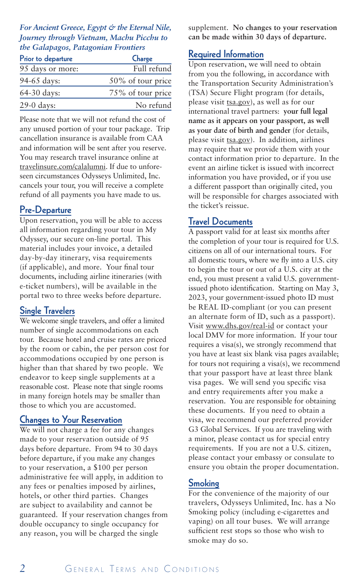#### *For Ancient Greece, Egypt & the Eternal Nile, Journey through Vietnam, Machu Picchu to the Galapagos, Patagonian Frontiers*

| Prior to departure | Charge            |  |
|--------------------|-------------------|--|
| 95 days or more:   | Full refund       |  |
| 94-65 days:        | 50% of tour price |  |
| 64-30 days:        | 75% of tour price |  |
| 29-0 days:         | No refund         |  |

Please note that we will not refund the cost of any unused portion of your tour package. Trip cancellation insurance is available from CAA and information will be sent after you reserve. You may research travel insurance online at travelinsure.com/calalumni. If due to unforeseen circumstances Odysseys Unlimited, Inc. cancels your tour, you will receive a complete refund of all payments you have made to us.

#### Pre-Departure

Upon reservation, you will be able to access all information regarding your tour in My Odyssey, our secure on-line portal. This material includes your invoice, a detailed day-by-day itinerary, visa requirements (if applicable), and more. Your final tour documents, including airline itineraries (with e-ticket numbers), will be available in the portal two to three weeks before departure.

## Single Travelers

We welcome single travelers, and offer a limited number of single accommodations on each tour. Because hotel and cruise rates are priced by the room or cabin, the per person cost for accommodations occupied by one person is higher than that shared by two people. We endeavor to keep single supplements at a reasonable cost. Please note that single rooms in many foreign hotels may be smaller than those to which you are accustomed.

#### Changes to Your Reservation

We will not charge a fee for any changes made to your reservation outside of 95 days before departure. From 94 to 30 days before departure, if you make any changes to your reservation, a \$100 per person administrative fee will apply, in addition to any fees or penalties imposed by airlines, hotels, or other third parties. Changes are subject to availability and cannot be guaranteed. If your reservation changes from double occupancy to single occupancy for any reason, you will be charged the single

supplement. **No changes to your reservation can be made within 30 days of departure.** 

#### Required Information

Upon reservation, we will need to obtain from you the following, in accordance with the Transportation Security Administration's (TSA) Secure Flight program (for details, please visit tsa.gov), as well as for our international travel partners: **your full legal name as it appears on your passport, as well as your date of birth and gender** (for details, please visit tsa.gov). In addition, airlines may require that we provide them with your contact information prior to departure. In the event an airline ticket is issued with incorrect information you have provided, or if you use a different passport than originally cited, you will be responsible for charges associated with the ticket's reissue.

#### Travel Documents

A passport valid for at least six months after the completion of your tour is required for U.S. citizens on all of our international tours. For all domestic tours, where we fly into a U.S. city to begin the tour or out of a U.S. city at the end, you must present a valid U.S. governmentissued photo identification. Starting on May 3, 2023, your government-issued photo ID must be REAL ID-compliant (or you can present an alternate form of ID, such as a passport). Visit www.dhs.gov/real-id or contact your local DMV for more information. If your tour requires a visa(s), we strongly recommend that you have at least six blank visa pages available; for tours not requiring a visa(s), we recommend that your passport have at least three blank visa pages. We will send you specific visa and entry requirements after you make a reservation. You are responsible for obtaining these documents. If you need to obtain a visa, we recommend our preferred provider G3 Global Services. If you are traveling with a minor, please contact us for special entry requirements. If you are not a U.S. citizen, please contact your embassy or consulate to ensure you obtain the proper documentation.

#### Smoking

For the convenience of the majority of our travelers, Odysseys Unlimited, Inc. has a No Smoking policy (including e-cigarettes and vaping) on all tour buses. We will arrange sufficient rest stops so those who wish to smoke may do so.